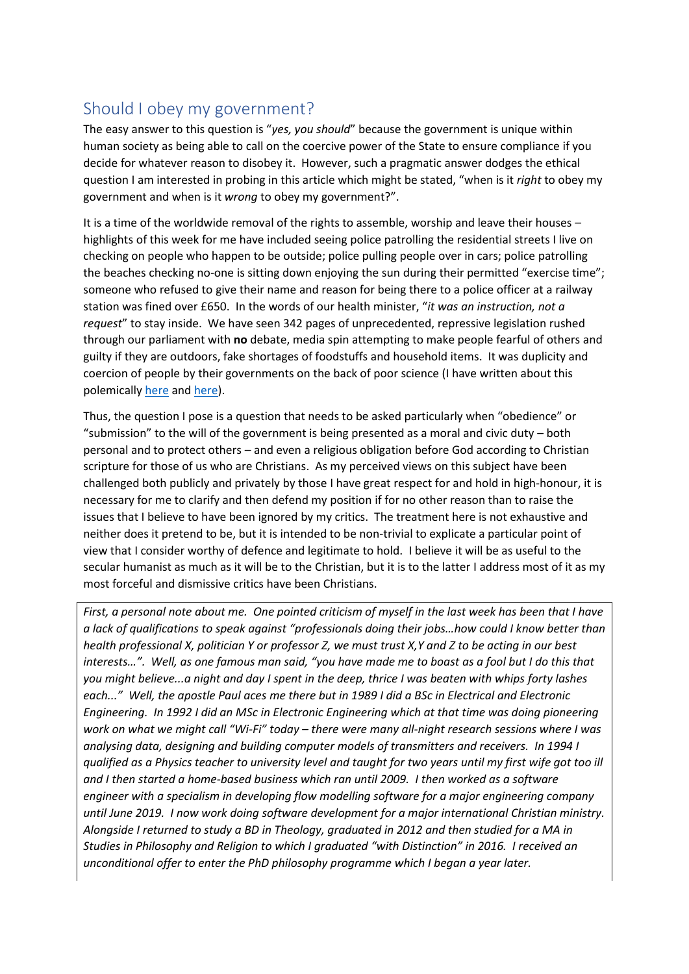## Should I obey my government?

The easy answer to this question is "*yes, you should*" because the government is unique within human society as being able to call on the coercive power of the State to ensure compliance if you decide for whatever reason to disobey it. However, such a pragmatic answer dodges the ethical question I am interested in probing in this article which might be stated, "when is it *right* to obey my government and when is it *wrong* to obey my government?".

It is a time of the worldwide removal of the rights to assemble, worship and leave their houses – highlights of this week for me have included seeing police patrolling the residential streets I live on checking on people who happen to be outside; police pulling people over in cars; police patrolling the beaches checking no-one is sitting down enjoying the sun during their permitted "exercise time"; someone who refused to give their name and reason for being there to a police officer at a railway station was fined over £650. In the words of our health minister, "*it was an instruction, not a request*" to stay inside. We have seen 342 pages of unprecedented, repressive legislation rushed through our parliament with **no** debate, media spin attempting to make people fearful of others and guilty if they are outdoors, fake shortages of foodstuffs and household items. It was duplicity and coercion of people by their governments on the back of poor science (I have written about this polemically [here](https://medium.com/@mmacneill123/corona-covid-19-hoax-much-more-than-meets-the-eye-6e026019a5bf) an[d here\)](https://medium.com/@mmacneill123/coronavirus-duplicity-what-the-politicians-and-experts-are-doing-behind-your-back-465937458640).

Thus, the question I pose is a question that needs to be asked particularly when "obedience" or "submission" to the will of the government is being presented as a moral and civic duty – both personal and to protect others – and even a religious obligation before God according to Christian scripture for those of us who are Christians. As my perceived views on this subject have been challenged both publicly and privately by those I have great respect for and hold in high-honour, it is necessary for me to clarify and then defend my position if for no other reason than to raise the issues that I believe to have been ignored by my critics. The treatment here is not exhaustive and neither does it pretend to be, but it is intended to be non-trivial to explicate a particular point of view that I consider worthy of defence and legitimate to hold. I believe it will be as useful to the secular humanist as much as it will be to the Christian, but it is to the latter I address most of it as my most forceful and dismissive critics have been Christians.

*First, a personal note about me. One pointed criticism of myself in the last week has been that I have a lack of qualifications to speak against "professionals doing their jobs…how could I know better than health professional X, politician Y or professor Z, we must trust X,Y and Z to be acting in our best interests…". Well, as one famous man said, "you have made me to boast as a fool but I do this that you might believe...a night and day I spent in the deep, thrice I was beaten with whips forty lashes each..." Well, the apostle Paul aces me there but in 1989 I did a BSc in Electrical and Electronic Engineering. In 1992 I did an MSc in Electronic Engineering which at that time was doing pioneering work on what we might call "Wi-Fi" today – there were many all-night research sessions where I was analysing data, designing and building computer models of transmitters and receivers. In 1994 I qualified as a Physics teacher to university level and taught for two years until my first wife got too ill and I then started a home-based business which ran until 2009. I then worked as a software engineer with a specialism in developing flow modelling software for a major engineering company until June 2019. I now work doing software development for a major international Christian ministry. Alongside I returned to study a BD in Theology, graduated in 2012 and then studied for a MA in Studies in Philosophy and Religion to which I graduated "with Distinction" in 2016. I received an unconditional offer to enter the PhD philosophy programme which I began a year later.*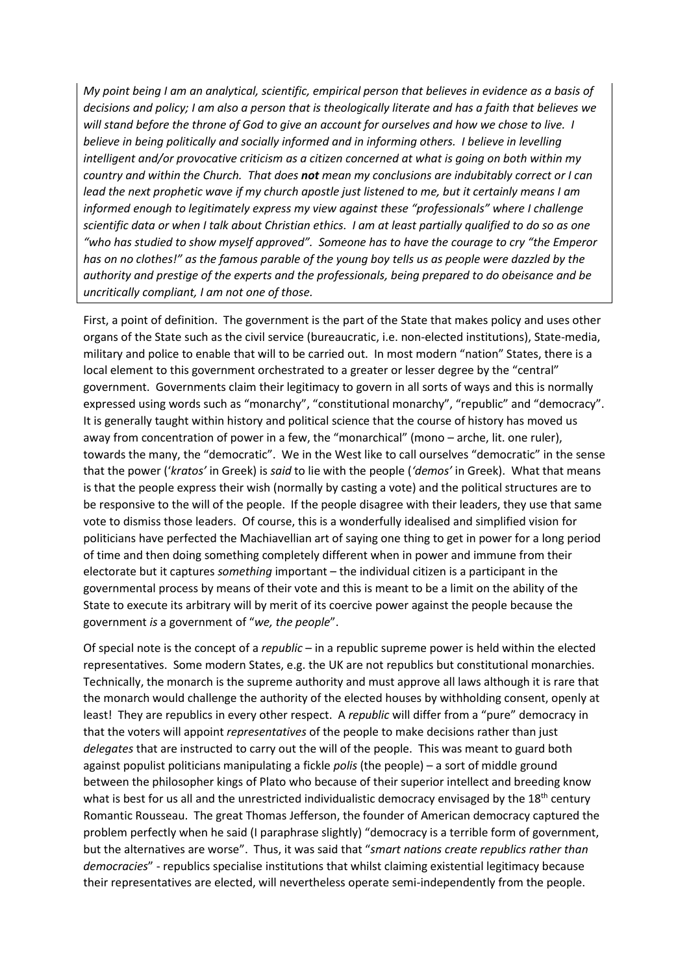*My point being I am an analytical, scientific, empirical person that believes in evidence as a basis of decisions and policy; I am also a person that is theologically literate and has a faith that believes we will stand before the throne of God to give an account for ourselves and how we chose to live. I believe in being politically and socially informed and in informing others. I believe in levelling intelligent and/or provocative criticism as a citizen concerned at what is going on both within my country and within the Church. That does not mean my conclusions are indubitably correct or I can lead the next prophetic wave if my church apostle just listened to me, but it certainly means I am informed enough to legitimately express my view against these "professionals" where I challenge scientific data or when I talk about Christian ethics. I am at least partially qualified to do so as one "who has studied to show myself approved". Someone has to have the courage to cry "the Emperor has on no clothes!" as the famous parable of the young boy tells us as people were dazzled by the authority and prestige of the experts and the professionals, being prepared to do obeisance and be uncritically compliant, I am not one of those.*

First, a point of definition. The government is the part of the State that makes policy and uses other organs of the State such as the civil service (bureaucratic, i.e. non-elected institutions), State-media, military and police to enable that will to be carried out. In most modern "nation" States, there is a local element to this government orchestrated to a greater or lesser degree by the "central" government. Governments claim their legitimacy to govern in all sorts of ways and this is normally expressed using words such as "monarchy", "constitutional monarchy", "republic" and "democracy". It is generally taught within history and political science that the course of history has moved us away from concentration of power in a few, the "monarchical" (mono – arche, lit. one ruler), towards the many, the "democratic". We in the West like to call ourselves "democratic" in the sense that the power ('*kratos'* in Greek) is *said* to lie with the people (*'demos'* in Greek). What that means is that the people express their wish (normally by casting a vote) and the political structures are to be responsive to the will of the people. If the people disagree with their leaders, they use that same vote to dismiss those leaders. Of course, this is a wonderfully idealised and simplified vision for politicians have perfected the Machiavellian art of saying one thing to get in power for a long period of time and then doing something completely different when in power and immune from their electorate but it captures *something* important – the individual citizen is a participant in the governmental process by means of their vote and this is meant to be a limit on the ability of the State to execute its arbitrary will by merit of its coercive power against the people because the government *is* a government of "*we, the people*".

Of special note is the concept of a *republic* – in a republic supreme power is held within the elected representatives. Some modern States, e.g. the UK are not republics but constitutional monarchies. Technically, the monarch is the supreme authority and must approve all laws although it is rare that the monarch would challenge the authority of the elected houses by withholding consent, openly at least! They are republics in every other respect. A *republic* will differ from a "pure" democracy in that the voters will appoint *representatives* of the people to make decisions rather than just *delegates* that are instructed to carry out the will of the people. This was meant to guard both against populist politicians manipulating a fickle *polis* (the people) – a sort of middle ground between the philosopher kings of Plato who because of their superior intellect and breeding know what is best for us all and the unrestricted individualistic democracy envisaged by the  $18<sup>th</sup>$  century Romantic Rousseau. The great Thomas Jefferson, the founder of American democracy captured the problem perfectly when he said (I paraphrase slightly) "democracy is a terrible form of government, but the alternatives are worse". Thus, it was said that "*smart nations create republics rather than democracies*" - republics specialise institutions that whilst claiming existential legitimacy because their representatives are elected, will nevertheless operate semi-independently from the people.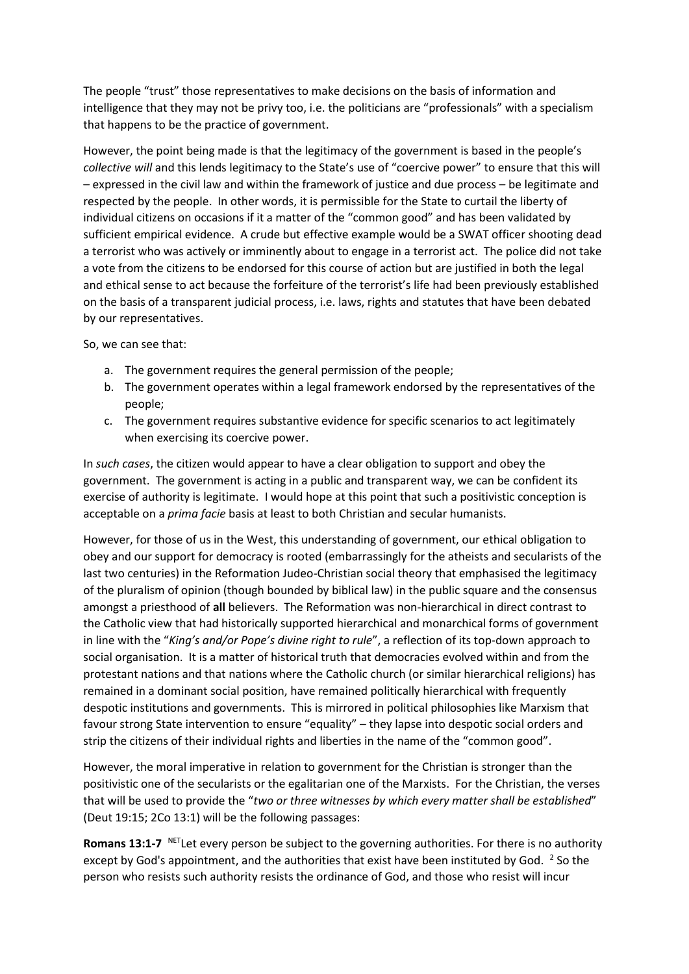The people "trust" those representatives to make decisions on the basis of information and intelligence that they may not be privy too, i.e. the politicians are "professionals" with a specialism that happens to be the practice of government.

However, the point being made is that the legitimacy of the government is based in the people's *collective will* and this lends legitimacy to the State's use of "coercive power" to ensure that this will – expressed in the civil law and within the framework of justice and due process – be legitimate and respected by the people. In other words, it is permissible for the State to curtail the liberty of individual citizens on occasions if it a matter of the "common good" and has been validated by sufficient empirical evidence. A crude but effective example would be a SWAT officer shooting dead a terrorist who was actively or imminently about to engage in a terrorist act. The police did not take a vote from the citizens to be endorsed for this course of action but are justified in both the legal and ethical sense to act because the forfeiture of the terrorist's life had been previously established on the basis of a transparent judicial process, i.e. laws, rights and statutes that have been debated by our representatives.

So, we can see that:

- a. The government requires the general permission of the people;
- b. The government operates within a legal framework endorsed by the representatives of the people;
- c. The government requires substantive evidence for specific scenarios to act legitimately when exercising its coercive power.

In *such cases*, the citizen would appear to have a clear obligation to support and obey the government. The government is acting in a public and transparent way, we can be confident its exercise of authority is legitimate. I would hope at this point that such a positivistic conception is acceptable on a *prima facie* basis at least to both Christian and secular humanists.

However, for those of us in the West, this understanding of government, our ethical obligation to obey and our support for democracy is rooted (embarrassingly for the atheists and secularists of the last two centuries) in the Reformation Judeo-Christian social theory that emphasised the legitimacy of the pluralism of opinion (though bounded by biblical law) in the public square and the consensus amongst a priesthood of **all** believers. The Reformation was non-hierarchical in direct contrast to the Catholic view that had historically supported hierarchical and monarchical forms of government in line with the "*King's and/or Pope's divine right to rule*", a reflection of its top-down approach to social organisation. It is a matter of historical truth that democracies evolved within and from the protestant nations and that nations where the Catholic church (or similar hierarchical religions) has remained in a dominant social position, have remained politically hierarchical with frequently despotic institutions and governments. This is mirrored in political philosophies like Marxism that favour strong State intervention to ensure "equality" – they lapse into despotic social orders and strip the citizens of their individual rights and liberties in the name of the "common good".

However, the moral imperative in relation to government for the Christian is stronger than the positivistic one of the secularists or the egalitarian one of the Marxists. For the Christian, the verses that will be used to provide the "*two or three witnesses by which every matter shall be established*" (Deut 19:15; 2Co 13:1) will be the following passages:

**Romans 13:1-7** NETLet every person be subject to the governing authorities. For there is no authority except by God's appointment, and the authorities that exist have been instituted by God.  $^2$  So the person who resists such authority resists the ordinance of God, and those who resist will incur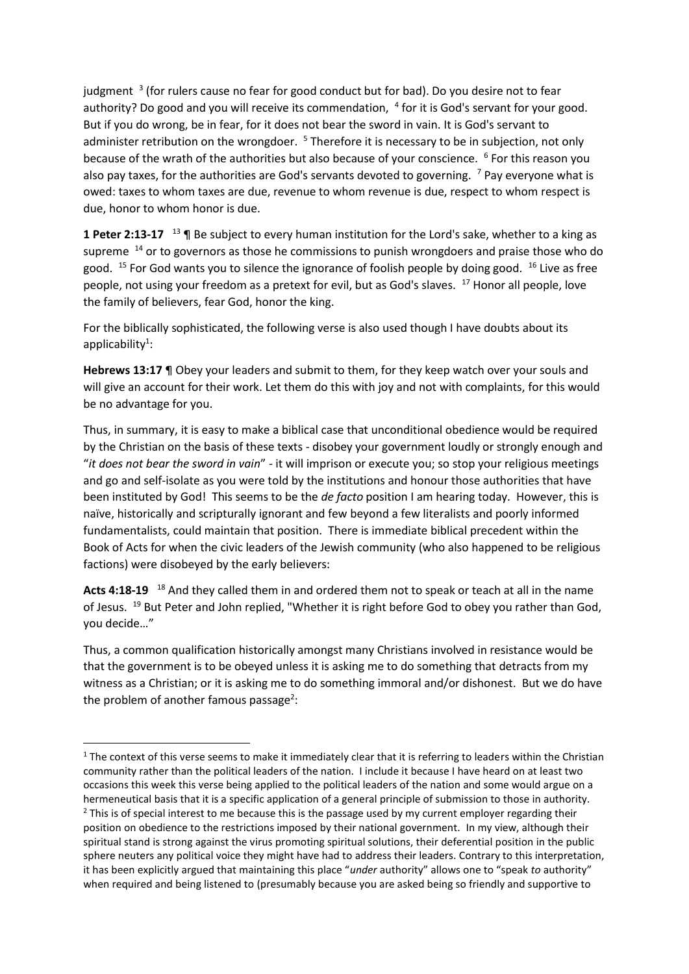judgment <sup>3</sup> (for rulers cause no fear for good conduct but for bad). Do you desire not to fear authority? Do good and you will receive its commendation, <sup>4</sup> for it is God's servant for your good. But if you do wrong, be in fear, for it does not bear the sword in vain. It is God's servant to administer retribution on the wrongdoer.  $5$  Therefore it is necessary to be in subjection, not only because of the wrath of the authorities but also because of your conscience. <sup>6</sup> For this reason you also pay taxes, for the authorities are God's servants devoted to governing.  $\frac{7}{7}$  Pay everyone what is owed: taxes to whom taxes are due, revenue to whom revenue is due, respect to whom respect is due, honor to whom honor is due.

1 Peter 2:13-17 <sup>13</sup> ¶ Be subject to every human institution for the Lord's sake, whether to a king as supreme <sup>14</sup> or to governors as those he commissions to punish wrongdoers and praise those who do good. <sup>15</sup> For God wants you to silence the ignorance of foolish people by doing good. <sup>16</sup> Live as free people, not using your freedom as a pretext for evil, but as God's slaves. <sup>17</sup> Honor all people, love the family of believers, fear God, honor the king.

For the biblically sophisticated, the following verse is also used though I have doubts about its  $appliedibility<sup>1</sup>$ :

**Hebrews 13:17** ¶ Obey your leaders and submit to them, for they keep watch over your souls and will give an account for their work. Let them do this with joy and not with complaints, for this would be no advantage for you.

Thus, in summary, it is easy to make a biblical case that unconditional obedience would be required by the Christian on the basis of these texts - disobey your government loudly or strongly enough and "*it does not bear the sword in vain*" - it will imprison or execute you; so stop your religious meetings and go and self-isolate as you were told by the institutions and honour those authorities that have been instituted by God! This seems to be the *de facto* position I am hearing today. However, this is naïve, historically and scripturally ignorant and few beyond a few literalists and poorly informed fundamentalists, could maintain that position. There is immediate biblical precedent within the Book of Acts for when the civic leaders of the Jewish community (who also happened to be religious factions) were disobeyed by the early believers:

**Acts 4:18-19**  <sup>18</sup> And they called them in and ordered them not to speak or teach at all in the name of Jesus. <sup>19</sup> But Peter and John replied, "Whether it is right before God to obey you rather than God, you decide…"

Thus, a common qualification historically amongst many Christians involved in resistance would be that the government is to be obeyed unless it is asking me to do something that detracts from my witness as a Christian; or it is asking me to do something immoral and/or dishonest. But we do have the problem of another famous passage<sup>2</sup>:

 $1$  The context of this verse seems to make it immediately clear that it is referring to leaders within the Christian community rather than the political leaders of the nation. I include it because I have heard on at least two occasions this week this verse being applied to the political leaders of the nation and some would argue on a hermeneutical basis that it is a specific application of a general principle of submission to those in authority. <sup>2</sup> This is of special interest to me because this is the passage used by my current employer regarding their position on obedience to the restrictions imposed by their national government. In my view, although their spiritual stand is strong against the virus promoting spiritual solutions, their deferential position in the public sphere neuters any political voice they might have had to address their leaders. Contrary to this interpretation, it has been explicitly argued that maintaining this place "*under* authority" allows one to "speak *to* authority" when required and being listened to (presumably because you are asked being so friendly and supportive to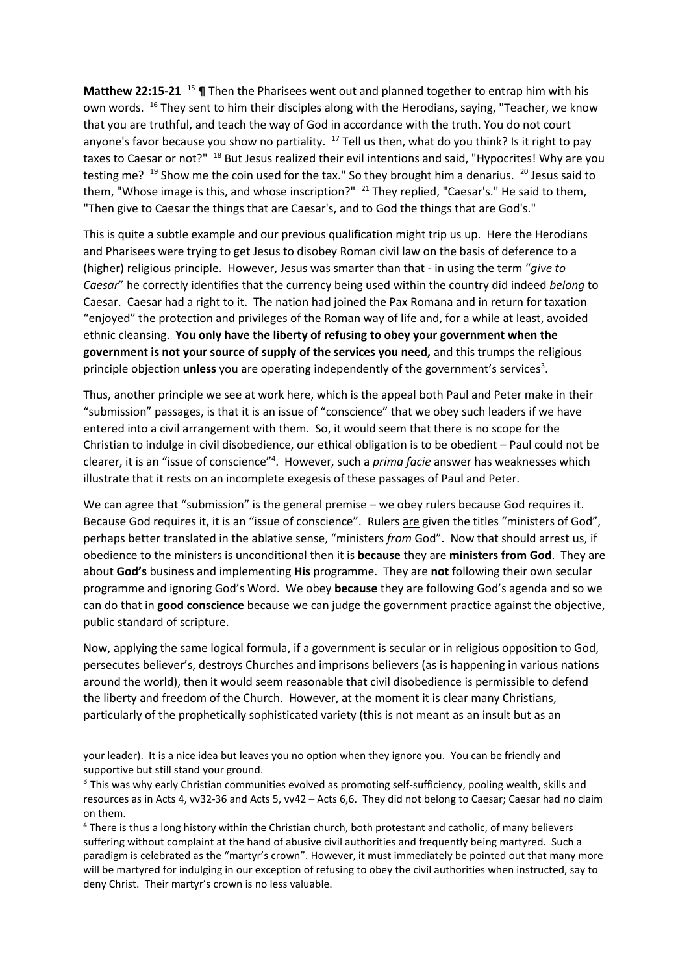**Matthew 22:15-21** <sup>15</sup> ¶ Then the Pharisees went out and planned together to entrap him with his own words. <sup>16</sup> They sent to him their disciples along with the Herodians, saying, "Teacher, we know that you are truthful, and teach the way of God in accordance with the truth. You do not court anyone's favor because you show no partiality.  $17$  Tell us then, what do you think? Is it right to pay taxes to Caesar or not?" <sup>18</sup> But Jesus realized their evil intentions and said, "Hypocrites! Why are you testing me? <sup>19</sup> Show me the coin used for the tax." So they brought him a denarius. <sup>20</sup> Jesus said to them, "Whose image is this, and whose inscription?" <sup>21</sup> They replied, "Caesar's." He said to them, "Then give to Caesar the things that are Caesar's, and to God the things that are God's."

This is quite a subtle example and our previous qualification might trip us up. Here the Herodians and Pharisees were trying to get Jesus to disobey Roman civil law on the basis of deference to a (higher) religious principle. However, Jesus was smarter than that - in using the term "*give to Caesar*" he correctly identifies that the currency being used within the country did indeed *belong* to Caesar. Caesar had a right to it. The nation had joined the Pax Romana and in return for taxation "enjoyed" the protection and privileges of the Roman way of life and, for a while at least, avoided ethnic cleansing. **You only have the liberty of refusing to obey your government when the government is not your source of supply of the services you need,** and this trumps the religious principle objection *unless* you are operating independently of the government's services<sup>3</sup>.

Thus, another principle we see at work here, which is the appeal both Paul and Peter make in their "submission" passages, is that it is an issue of "conscience" that we obey such leaders if we have entered into a civil arrangement with them. So, it would seem that there is no scope for the Christian to indulge in civil disobedience, our ethical obligation is to be obedient – Paul could not be clearer, it is an "issue of conscience"<sup>4</sup> . However, such a *prima facie* answer has weaknesses which illustrate that it rests on an incomplete exegesis of these passages of Paul and Peter.

We can agree that "submission" is the general premise – we obey rulers because God requires it. Because God requires it, it is an "issue of conscience". Rulers are given the titles "ministers of God", perhaps better translated in the ablative sense, "ministers *from* God". Now that should arrest us, if obedience to the ministers is unconditional then it is **because** they are **ministers from God**. They are about **God's** business and implementing **His** programme. They are **not** following their own secular programme and ignoring God's Word. We obey **because** they are following God's agenda and so we can do that in **good conscience** because we can judge the government practice against the objective, public standard of scripture.

Now, applying the same logical formula, if a government is secular or in religious opposition to God, persecutes believer's, destroys Churches and imprisons believers (as is happening in various nations around the world), then it would seem reasonable that civil disobedience is permissible to defend the liberty and freedom of the Church. However, at the moment it is clear many Christians, particularly of the prophetically sophisticated variety (this is not meant as an insult but as an

your leader). It is a nice idea but leaves you no option when they ignore you. You can be friendly and supportive but still stand your ground.

<sup>&</sup>lt;sup>3</sup> This was why early Christian communities evolved as promoting self-sufficiency, pooling wealth, skills and resources as in Acts 4, vv32-36 and Acts 5, vv42 – Acts 6,6. They did not belong to Caesar; Caesar had no claim on them.

<sup>4</sup> There is thus a long history within the Christian church, both protestant and catholic, of many believers suffering without complaint at the hand of abusive civil authorities and frequently being martyred. Such a paradigm is celebrated as the "martyr's crown". However, it must immediately be pointed out that many more will be martyred for indulging in our exception of refusing to obey the civil authorities when instructed, say to deny Christ. Their martyr's crown is no less valuable.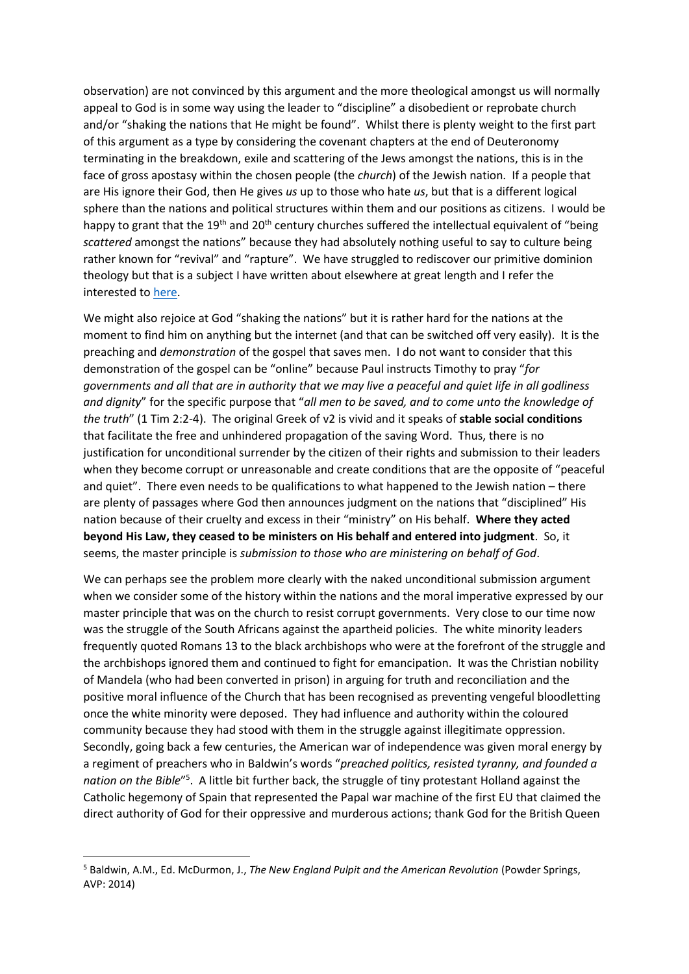observation) are not convinced by this argument and the more theological amongst us will normally appeal to God is in some way using the leader to "discipline" a disobedient or reprobate church and/or "shaking the nations that He might be found". Whilst there is plenty weight to the first part of this argument as a type by considering the covenant chapters at the end of Deuteronomy terminating in the breakdown, exile and scattering of the Jews amongst the nations, this is in the face of gross apostasy within the chosen people (the *church*) of the Jewish nation. If a people that are His ignore their God, then He gives *us* up to those who hate *us*, but that is a different logical sphere than the nations and political structures within them and our positions as citizens. I would be happy to grant that the 19<sup>th</sup> and 20<sup>th</sup> century churches suffered the intellectual equivalent of "being *scattered* amongst the nations" because they had absolutely nothing useful to say to culture being rather known for "revival" and "rapture". We have struggled to rediscover our primitive dominion theology but that is a subject I have written about elsewhere at great length and I refer the interested t[o here.](https://planetmacneil.org/blog/dominion-theology-its-origin-development-and-place-in-christian-thinking/)

We might also rejoice at God "shaking the nations" but it is rather hard for the nations at the moment to find him on anything but the internet (and that can be switched off very easily). It is the preaching and *demonstration* of the gospel that saves men. I do not want to consider that this demonstration of the gospel can be "online" because Paul instructs Timothy to pray "*for governments and all that are in authority that we may live a peaceful and quiet life in all godliness and dignity*" for the specific purpose that "*all men to be saved, and to come unto the knowledge of the truth*" (1 Tim 2:2-4). The original Greek of v2 is vivid and it speaks of **stable social conditions** that facilitate the free and unhindered propagation of the saving Word. Thus, there is no justification for unconditional surrender by the citizen of their rights and submission to their leaders when they become corrupt or unreasonable and create conditions that are the opposite of "peaceful and quiet". There even needs to be qualifications to what happened to the Jewish nation – there are plenty of passages where God then announces judgment on the nations that "disciplined" His nation because of their cruelty and excess in their "ministry" on His behalf. **Where they acted beyond His Law, they ceased to be ministers on His behalf and entered into judgment**.So, it seems, the master principle is *submission to those who are ministering on behalf of God*.

We can perhaps see the problem more clearly with the naked unconditional submission argument when we consider some of the history within the nations and the moral imperative expressed by our master principle that was on the church to resist corrupt governments. Very close to our time now was the struggle of the South Africans against the apartheid policies. The white minority leaders frequently quoted Romans 13 to the black archbishops who were at the forefront of the struggle and the archbishops ignored them and continued to fight for emancipation. It was the Christian nobility of Mandela (who had been converted in prison) in arguing for truth and reconciliation and the positive moral influence of the Church that has been recognised as preventing vengeful bloodletting once the white minority were deposed. They had influence and authority within the coloured community because they had stood with them in the struggle against illegitimate oppression. Secondly, going back a few centuries, the American war of independence was given moral energy by a regiment of preachers who in Baldwin's words "*preached politics, resisted tyranny, and founded a*  nation on the Bible<sup>"5</sup>. A little bit further back, the struggle of tiny protestant Holland against the Catholic hegemony of Spain that represented the Papal war machine of the first EU that claimed the direct authority of God for their oppressive and murderous actions; thank God for the British Queen

<sup>5</sup> Baldwin, A.M., Ed. McDurmon, J., *The New England Pulpit and the American Revolution* (Powder Springs, AVP: 2014)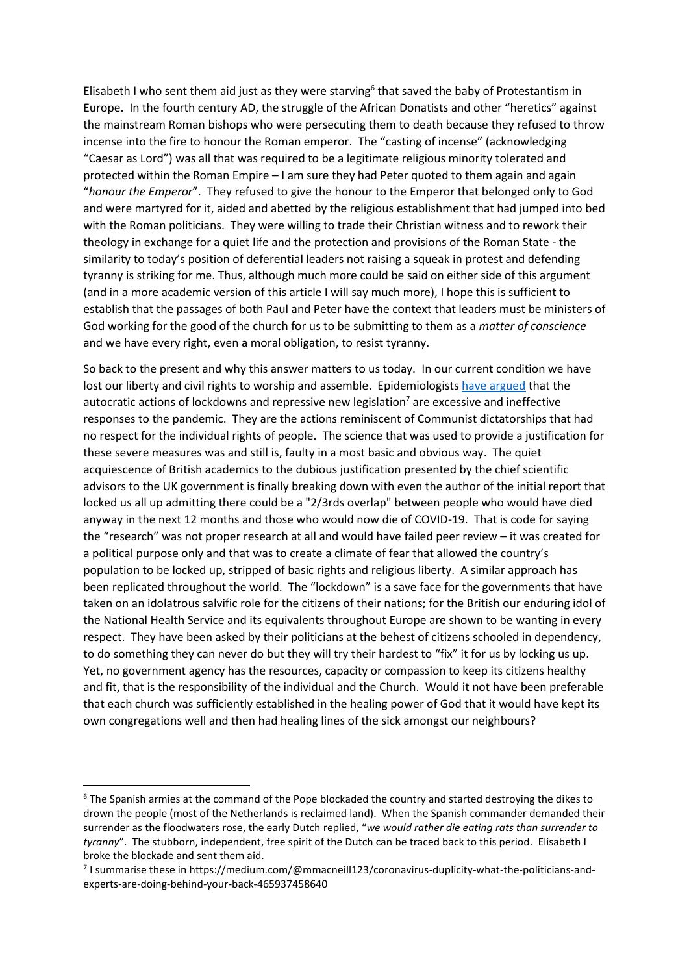Elisabeth I who sent them aid just as they were starving<sup>6</sup> that saved the baby of Protestantism in Europe. In the fourth century AD, the struggle of the African Donatists and other "heretics" against the mainstream Roman bishops who were persecuting them to death because they refused to throw incense into the fire to honour the Roman emperor. The "casting of incense" (acknowledging "Caesar as Lord") was all that was required to be a legitimate religious minority tolerated and protected within the Roman Empire – I am sure they had Peter quoted to them again and again "*honour the Emperor*". They refused to give the honour to the Emperor that belonged only to God and were martyred for it, aided and abetted by the religious establishment that had jumped into bed with the Roman politicians. They were willing to trade their Christian witness and to rework their theology in exchange for a quiet life and the protection and provisions of the Roman State - the similarity to today's position of deferential leaders not raising a squeak in protest and defending tyranny is striking for me. Thus, although much more could be said on either side of this argument (and in a more academic version of this article I will say much more), I hope this is sufficient to establish that the passages of both Paul and Peter have the context that leaders must be ministers of God working for the good of the church for us to be submitting to them as a *matter of conscience* and we have every right, even a moral obligation, to resist tyranny.

So back to the present and why this answer matters to us today. In our current condition we have lost our liberty and civil rights to worship and assemble. Epidemiologists [have argued](https://heated.medium.com/how-should-we-be-reacting-to-the-coronavirus-pandemic-7b3189b1097b) that the autocratic actions of lockdowns and repressive new legislation<sup>7</sup> are excessive and ineffective responses to the pandemic. They are the actions reminiscent of Communist dictatorships that had no respect for the individual rights of people. The science that was used to provide a justification for these severe measures was and still is, faulty in a most basic and obvious way. The quiet acquiescence of British academics to the dubious justification presented by the chief scientific advisors to the UK government is finally breaking down with even the author of the initial report that locked us all up admitting there could be a "2/3rds overlap" between people who would have died anyway in the next 12 months and those who would now die of COVID-19. That is code for saying the "research" was not proper research at all and would have failed peer review – it was created for a political purpose only and that was to create a climate of fear that allowed the country's population to be locked up, stripped of basic rights and religious liberty. A similar approach has been replicated throughout the world. The "lockdown" is a save face for the governments that have taken on an idolatrous salvific role for the citizens of their nations; for the British our enduring idol of the National Health Service and its equivalents throughout Europe are shown to be wanting in every respect. They have been asked by their politicians at the behest of citizens schooled in dependency, to do something they can never do but they will try their hardest to "fix" it for us by locking us up. Yet, no government agency has the resources, capacity or compassion to keep its citizens healthy and fit, that is the responsibility of the individual and the Church. Would it not have been preferable that each church was sufficiently established in the healing power of God that it would have kept its own congregations well and then had healing lines of the sick amongst our neighbours?

<sup>&</sup>lt;sup>6</sup> The Spanish armies at the command of the Pope blockaded the country and started destroying the dikes to drown the people (most of the Netherlands is reclaimed land). When the Spanish commander demanded their surrender as the floodwaters rose, the early Dutch replied, "*we would rather die eating rats than surrender to tyranny*". The stubborn, independent, free spirit of the Dutch can be traced back to this period. Elisabeth I broke the blockade and sent them aid.

 $^7$  I summarise these in https://medium.com/@mmacneill123/coronavirus-duplicity-what-the-politicians-andexperts-are-doing-behind-your-back-465937458640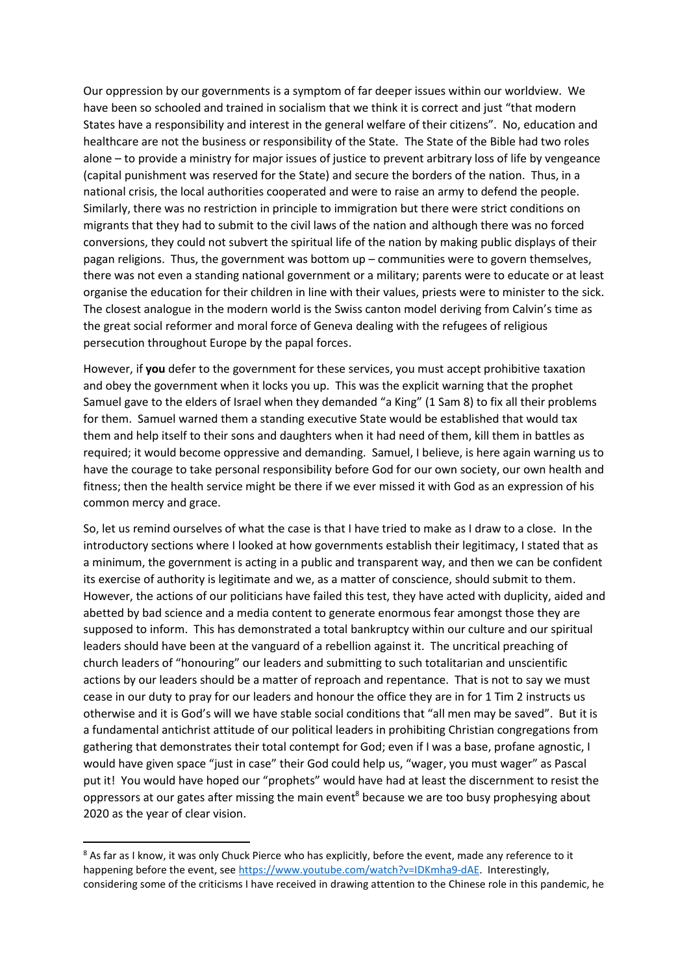Our oppression by our governments is a symptom of far deeper issues within our worldview. We have been so schooled and trained in socialism that we think it is correct and just "that modern States have a responsibility and interest in the general welfare of their citizens". No, education and healthcare are not the business or responsibility of the State. The State of the Bible had two roles alone – to provide a ministry for major issues of justice to prevent arbitrary loss of life by vengeance (capital punishment was reserved for the State) and secure the borders of the nation. Thus, in a national crisis, the local authorities cooperated and were to raise an army to defend the people. Similarly, there was no restriction in principle to immigration but there were strict conditions on migrants that they had to submit to the civil laws of the nation and although there was no forced conversions, they could not subvert the spiritual life of the nation by making public displays of their pagan religions. Thus, the government was bottom up – communities were to govern themselves, there was not even a standing national government or a military; parents were to educate or at least organise the education for their children in line with their values, priests were to minister to the sick. The closest analogue in the modern world is the Swiss canton model deriving from Calvin's time as the great social reformer and moral force of Geneva dealing with the refugees of religious persecution throughout Europe by the papal forces.

However, if **you** defer to the government for these services, you must accept prohibitive taxation and obey the government when it locks you up. This was the explicit warning that the prophet Samuel gave to the elders of Israel when they demanded "a King" (1 Sam 8) to fix all their problems for them. Samuel warned them a standing executive State would be established that would tax them and help itself to their sons and daughters when it had need of them, kill them in battles as required; it would become oppressive and demanding. Samuel, I believe, is here again warning us to have the courage to take personal responsibility before God for our own society, our own health and fitness; then the health service might be there if we ever missed it with God as an expression of his common mercy and grace.

So, let us remind ourselves of what the case is that I have tried to make as I draw to a close. In the introductory sections where I looked at how governments establish their legitimacy, I stated that as a minimum, the government is acting in a public and transparent way, and then we can be confident its exercise of authority is legitimate and we, as a matter of conscience, should submit to them. However, the actions of our politicians have failed this test, they have acted with duplicity, aided and abetted by bad science and a media content to generate enormous fear amongst those they are supposed to inform. This has demonstrated a total bankruptcy within our culture and our spiritual leaders should have been at the vanguard of a rebellion against it. The uncritical preaching of church leaders of "honouring" our leaders and submitting to such totalitarian and unscientific actions by our leaders should be a matter of reproach and repentance. That is not to say we must cease in our duty to pray for our leaders and honour the office they are in for 1 Tim 2 instructs us otherwise and it is God's will we have stable social conditions that "all men may be saved". But it is a fundamental antichrist attitude of our political leaders in prohibiting Christian congregations from gathering that demonstrates their total contempt for God; even if I was a base, profane agnostic, I would have given space "just in case" their God could help us, "wager, you must wager" as Pascal put it! You would have hoped our "prophets" would have had at least the discernment to resist the oppressors at our gates after missing the main event<sup>8</sup> because we are too busy prophesying about 2020 as the year of clear vision.

<sup>8</sup> As far as I know, it was only Chuck Pierce who has explicitly, before the event, made any reference to it happening before the event, see [https://www.youtube.com/watch?v=IDKmha9-dAE.](https://www.youtube.com/watch?v=IDKmha9-dAE) Interestingly, considering some of the criticisms I have received in drawing attention to the Chinese role in this pandemic, he